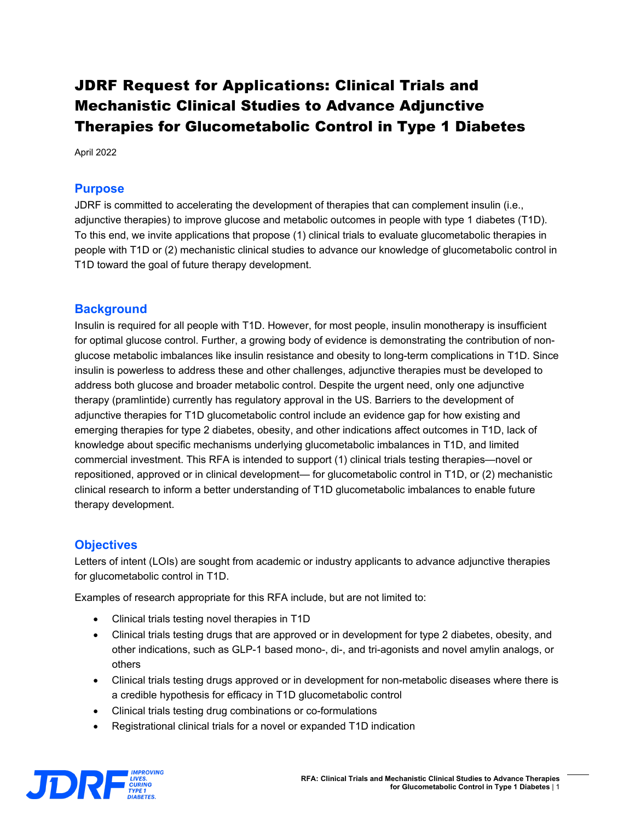# JDRF Request for Applications: Clinical Trials and Mechanistic Clinical Studies to Advance Adjunctive Therapies for Glucometabolic Control in Type 1 Diabetes

April 2022

### **Purpose**

JDRF is committed to accelerating the development of therapies that can complement insulin (i.e., adjunctive therapies) to improve glucose and metabolic outcomes in people with type 1 diabetes (T1D). To this end, we invite applications that propose (1) clinical trials to evaluate glucometabolic therapies in people with T1D or (2) mechanistic clinical studies to advance our knowledge of glucometabolic control in T1D toward the goal of future therapy development.

### **Background**

Insulin is required for all people with T1D. However, for most people, insulin monotherapy is insufficient for optimal glucose control. Further, a growing body of evidence is demonstrating the contribution of nonglucose metabolic imbalances like insulin resistance and obesity to long-term complications in T1D. Since insulin is powerless to address these and other challenges, adjunctive therapies must be developed to address both glucose and broader metabolic control. Despite the urgent need, only one adjunctive therapy (pramlintide) currently has regulatory approval in the US. Barriers to the development of adjunctive therapies for T1D glucometabolic control include an evidence gap for how existing and emerging therapies for type 2 diabetes, obesity, and other indications affect outcomes in T1D, lack of knowledge about specific mechanisms underlying glucometabolic imbalances in T1D, and limited commercial investment. This RFA is intended to support (1) clinical trials testing therapies—novel or repositioned, approved or in clinical development— for glucometabolic control in T1D, or (2) mechanistic clinical research to inform a better understanding of T1D glucometabolic imbalances to enable future therapy development.

#### **Objectives**

Letters of intent (LOIs) are sought from academic or industry applicants to advance adjunctive therapies for glucometabolic control in T1D.

Examples of research appropriate for this RFA include, but are not limited to:

- Clinical trials testing novel therapies in T1D
- Clinical trials testing drugs that are approved or in development for type 2 diabetes, obesity, and other indications, such as GLP-1 based mono-, di-, and tri-agonists and novel amylin analogs, or others
- Clinical trials testing drugs approved or in development for non-metabolic diseases where there is a credible hypothesis for efficacy in T1D glucometabolic control
- Clinical trials testing drug combinations or co-formulations
- Registrational clinical trials for a novel or expanded T1D indication

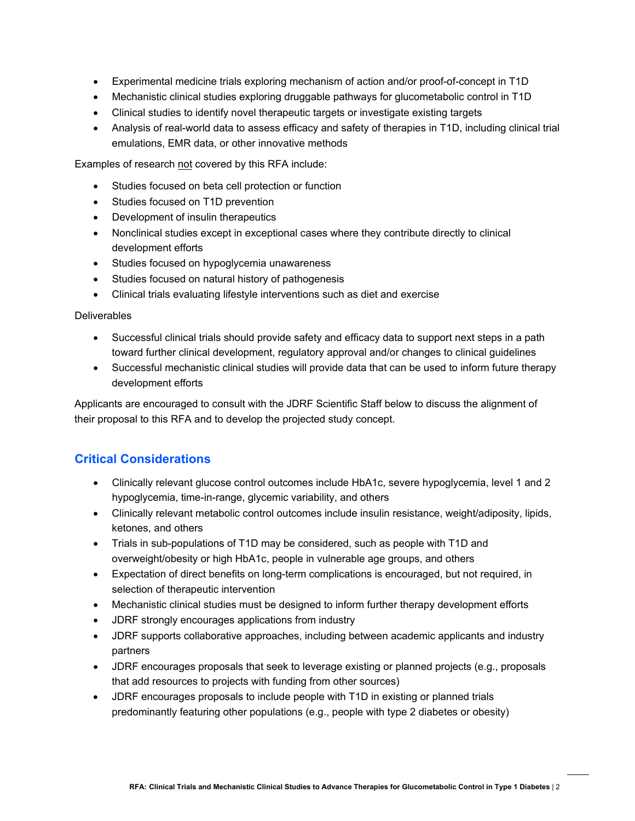- Experimental medicine trials exploring mechanism of action and/or proof-of-concept in T1D
- Mechanistic clinical studies exploring druggable pathways for glucometabolic control in T1D
- Clinical studies to identify novel therapeutic targets or investigate existing targets
- Analysis of real-world data to assess efficacy and safety of therapies in T1D, including clinical trial emulations, EMR data, or other innovative methods

Examples of research not covered by this RFA include:

- Studies focused on beta cell protection or function
- Studies focused on T1D prevention
- Development of insulin therapeutics
- Nonclinical studies except in exceptional cases where they contribute directly to clinical development efforts
- Studies focused on hypoglycemia unawareness
- Studies focused on natural history of pathogenesis
- Clinical trials evaluating lifestyle interventions such as diet and exercise

#### **Deliverables**

- Successful clinical trials should provide safety and efficacy data to support next steps in a path toward further clinical development, regulatory approval and/or changes to clinical guidelines
- Successful mechanistic clinical studies will provide data that can be used to inform future therapy development efforts

Applicants are encouraged to consult with the JDRF Scientific Staff below to discuss the alignment of their proposal to this RFA and to develop the projected study concept.

### **Critical Considerations**

- Clinically relevant glucose control outcomes include HbA1c, severe hypoglycemia, level 1 and 2 hypoglycemia, time-in-range, glycemic variability, and others
- Clinically relevant metabolic control outcomes include insulin resistance, weight/adiposity, lipids, ketones, and others
- Trials in sub-populations of T1D may be considered, such as people with T1D and overweight/obesity or high HbA1c, people in vulnerable age groups, and others
- Expectation of direct benefits on long-term complications is encouraged, but not required, in selection of therapeutic intervention
- Mechanistic clinical studies must be designed to inform further therapy development efforts
- JDRF strongly encourages applications from industry
- JDRF supports collaborative approaches, including between academic applicants and industry partners
- JDRF encourages proposals that seek to leverage existing or planned projects (e.g., proposals that add resources to projects with funding from other sources)
- JDRF encourages proposals to include people with T1D in existing or planned trials predominantly featuring other populations (e.g., people with type 2 diabetes or obesity)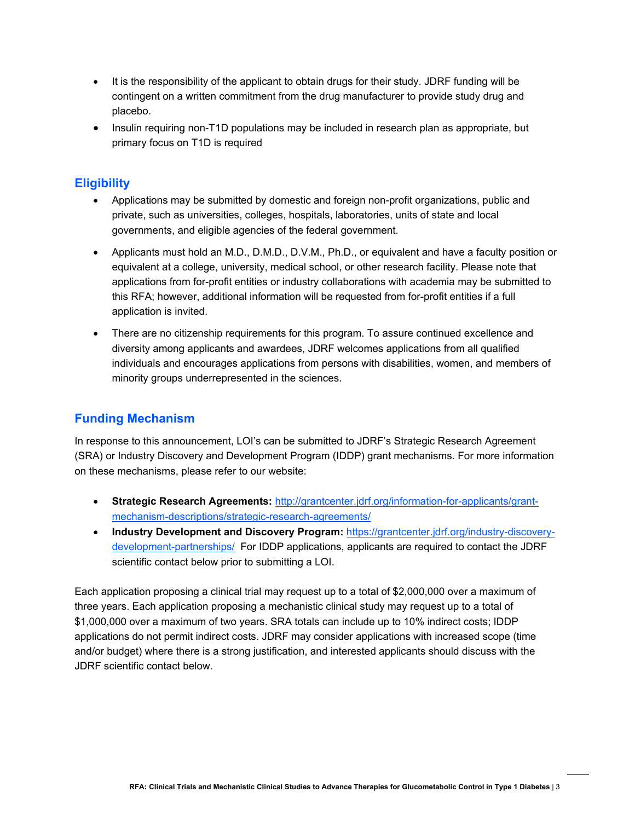- It is the responsibility of the applicant to obtain drugs for their study. JDRF funding will be contingent on a written commitment from the drug manufacturer to provide study drug and placebo.
- Insulin requiring non-T1D populations may be included in research plan as appropriate, but primary focus on T1D is required

### **Eligibility**

- Applications may be submitted by domestic and foreign non-profit organizations, public and private, such as universities, colleges, hospitals, laboratories, units of state and local governments, and eligible agencies of the federal government.
- Applicants must hold an M.D., D.M.D., D.V.M., Ph.D., or equivalent and have a faculty position or equivalent at a college, university, medical school, or other research facility. Please note that applications from for-profit entities or industry collaborations with academia may be submitted to this RFA; however, additional information will be requested from for-profit entities if a full application is invited.
- There are no citizenship requirements for this program. To assure continued excellence and diversity among applicants and awardees, JDRF welcomes applications from all qualified individuals and encourages applications from persons with disabilities, women, and members of minority groups underrepresented in the sciences.

# **Funding Mechanism**

In response to this announcement, LOI's can be submitted to JDRF's Strategic Research Agreement (SRA) or Industry Discovery and Development Program (IDDP) grant mechanisms. For more information on these mechanisms, please refer to our website:

- **Strategic Research Agreements:** [http://grantcenter.jdrf.org/information-for-applicants/grant](http://grantcenter.jdrf.org/information-for-applicants/grant-mechanism-descriptions/strategic-research-agreements/)[mechanism-descriptions/strategic-research-agreements/](http://grantcenter.jdrf.org/information-for-applicants/grant-mechanism-descriptions/strategic-research-agreements/)
- **Industry Development and Discovery Program:** [https://grantcenter.jdrf.org/industry-discovery](https://grantcenter.jdrf.org/industry-discovery-development-partnerships/)[development-partnerships/](https://grantcenter.jdrf.org/industry-discovery-development-partnerships/) For IDDP applications, applicants are required to contact the JDRF scientific contact below prior to submitting a LOI.

Each application proposing a clinical trial may request up to a total of \$2,000,000 over a maximum of three years. Each application proposing a mechanistic clinical study may request up to a total of \$1,000,000 over a maximum of two years. SRA totals can include up to 10% indirect costs; IDDP applications do not permit indirect costs. JDRF may consider applications with increased scope (time and/or budget) where there is a strong justification, and interested applicants should discuss with the JDRF scientific contact below.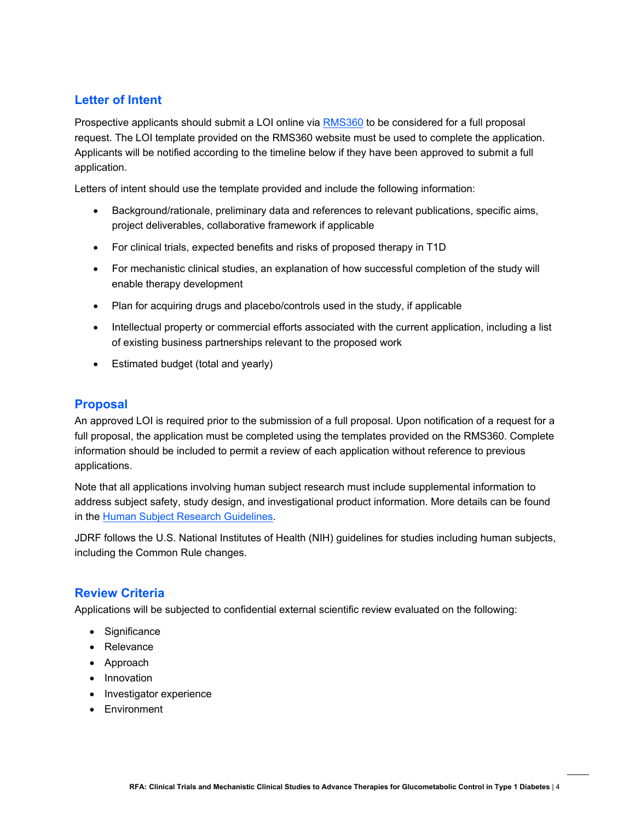### **Letter of Intent**

Prospective applicants should submit a LOI online via [RMS360](http://jdrf.smartsimple.us/) to be considered for a full proposal request. The LOI template provided on the RMS360 website must be used to complete the application. Applicants will be notified according to the timeline below if they have been approved to submit a full application.

Letters of intent should use the template provided and include the following information:

- Background/rationale, preliminary data and references to relevant publications, specific aims, project deliverables, collaborative framework if applicable
- For clinical trials, expected benefits and risks of proposed therapy in T1D
- For mechanistic clinical studies, an explanation of how successful completion of the study will enable therapy development
- Plan for acquiring drugs and placebo/controls used in the study, if applicable
- Intellectual property or commercial efforts associated with the current application, including a list of existing business partnerships relevant to the proposed work
- Estimated budget (total and yearly)

### **Proposal**

An approved LOI is required prior to the submission of a full proposal. Upon notification of a request for a full proposal, the application must be completed using the templates provided on the RMS360. Complete information should be included to permit a review of each application without reference to previous applications.

Note that all applications involving human subject research must include supplemental information to address subject safety, study design, and investigational product information. More details can be found in the [Human Subject Research Guidelines.](http://grantcenter.jdrf.org/information-for-applicants/how-to-apply/application-guidelines/#human-subject-requirements)

JDRF follows the U.S. National Institutes of Health (NIH) guidelines for studies including human subjects, including the Common Rule changes.

### **Review Criteria**

Applications will be subjected to confidential external scientific review evaluated on the following:

- Significance
- Relevance
- Approach
- Innovation
- Investigator experience
- **Environment**